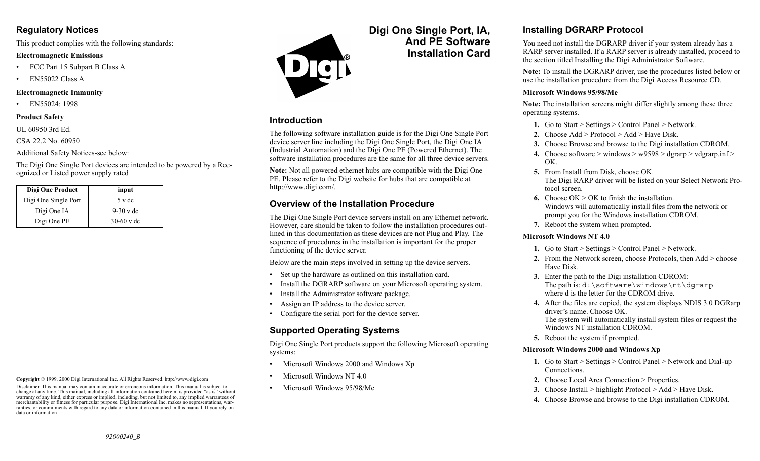### **Regulatory Notices**

This product complies with the following standards:

#### **Electromagnetic Emissions**

- •FCC Part 15 Subpart B Class A
- •EN55022 Class A

#### **Electromagnetic Immunity**

•EN55024: 1998

#### **Product Safety**

UL 60950 3rd Ed.

CSA 22.2 No. 60950

Additional Safety Notices-see below:

The Digi One Single Port devices are intended to be powered by a Recognized or Listed power supply rated

| Digi One Product     | input        |
|----------------------|--------------|
| Digi One Single Port | 5 v dc       |
| Digi One IA          | $9-30$ v dc  |
| Digi One PE          | $30-60$ v dc |

**Copyright** © 1999, 2000 Digi International Inc. All Rights Reserved. http://www.digi.com

Disclaimer. This manual may contain inaccurate or erroneous information. This manual is subject to change at any time. This manual, including all information contained herein, is provided "as is" without warranty of any kind, either express or implied, including, but not limited to, any implied warrantees of merchantability or fitness for particular purpose. Digi International Inc. makes no representations, warranties, or commitments with regard to any data or information contained in this manual. If you rely on data or information



### **Introduction**

•

The following software installation guide is for the Digi One Single Port device server line including the Digi One Single Port, the Digi One IA (Industrial Automation) and the Digi One PE (Powered Ethernet). The software installation procedures are the same for all three device servers.

**Digi One Single Port, IA,**

**And PE SoftwareInstallation Card**

**Note:** Not all powered ethernet hubs are compatible with the Digi One PE. Please refer to the Digi website for hubs that are compatible at http://www.digi.com/.

## **Overview of the Installation Procedure**

The Digi One Single Port device servers install on any Ethernet network. However, care should be taken to follow the installation procedures outlined in this documentation as these devices are not Plug and Play. The sequence of procedures in the installation is important for the proper functioning of the device server.

Below are the main steps involved in setting up the device servers.

- Set up the hardware as outlined on this installation card.
- Install the DGRARP software on your Microsoft operating system.
- •Install the Administrator software package.
- Assign an IP address to the device server.
- •Configure the serial port for the device server.

## **Supported Operating Systems**

Digi One Single Port products support the following Microsoft operating systems:

- •Microsoft Windows 2000 and Windows Xp
- •Microsoft Windows NT 4.0
- •Microsoft Windows 95/98/Me

# **Installing DGRARP Protocol**

You need not install the DGRARP driver if your system already has a RARP server installed. If a RARP server is already installed, proceed to the section titled Installing the Digi Administrator Software.

**Note:** To install the DGRARP driver, use the procedures listed below or use the installation procedure from the Digi Access Resource CD.

#### **Microsoft Windows 95/98/Me**

**Note:** The installation screens might differ slightly among these three operating systems.

- **1.** Go to Start > Settings > Control Panel > Network.
- **2.** Choose Add > Protocol > Add > Have Disk.
- **3.** Choose Browse and browse to the Digi installation CDROM.
- **4.** Choose software > windows >  $w9598$  > dgrarp > vdgrarp.inf > OK.
- **5.** From Install from Disk, choose OK. The Digi RARP driver will be listed on your Select Network Protocol screen.
- **6.** Choose OK > OK to finish the installation. Windows will automatically install files from the network or prompt you for the Windows installation CDROM.
- **7.** Reboot the system when prompted.

#### **Microsoft Windows NT 4.0**

- **1.** Go to Start > Settings > Control Panel > Network.
- **2.** From the Network screen, choose Protocols, then Add > choose Have Disk.
- **3.** Enter the path to the Digi installation CDROM: The path is:  $d:\s{setware\windows\nt\dqrarp}$ where d is the letter for the CDROM drive.
- **4.** After the files are copied, the system displays NDIS 3.0 DGRarp driver's name. Choose OK.The system will automatically install system files or request the Windows NT installation CDROM.
- **5.** Reboot the system if prompted.

#### **Microsoft Windows 2000 and Windows Xp**

- **1.** Go to Start > Settings > Control Panel > Network and Dial-up Connections.
- **2.** Choose Local Area Connection > Properties.
- **3.** Choose Install > highlight Protocol > Add > Have Disk.
- **4.** Choose Browse and browse to the Digi installation CDROM.